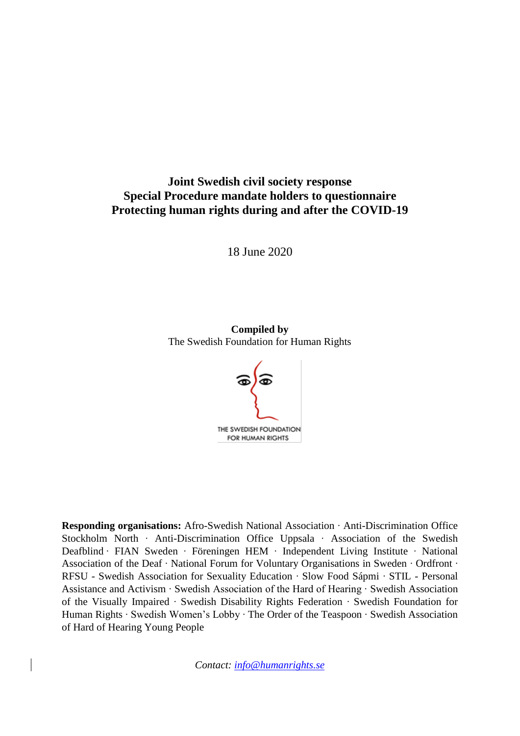# **Joint Swedish civil society response Special Procedure mandate holders to questionnaire Protecting human rights during and after the COVID-19**

18 June 2020

**Compiled by** The Swedish Foundation for Human Rights



**Responding organisations:** Afro-Swedish National Association ∙ Anti-Discrimination Office Stockholm North ∙ Anti-Discrimination Office Uppsala ∙ Association of the Swedish Deafblind ∙ FIAN Sweden ∙ Föreningen HEM ∙ Independent Living Institute ∙ National Association of the Deaf ∙ National Forum for Voluntary Organisations in Sweden ∙ Ordfront ∙ RFSU - Swedish Association for Sexuality Education ∙ Slow Food Sápmi ∙ STIL - Personal Assistance and Activism ∙ Swedish Association of the Hard of Hearing ∙ Swedish Association of the Visually Impaired ∙ Swedish Disability Rights Federation ∙ Swedish Foundation for Human Rights ∙ Swedish Women's Lobby ∙ The Order of the Teaspoon ∙ Swedish Association of Hard of Hearing Young People

*Contact: [info@humanrights.se](mailto:info@humanrights.se)*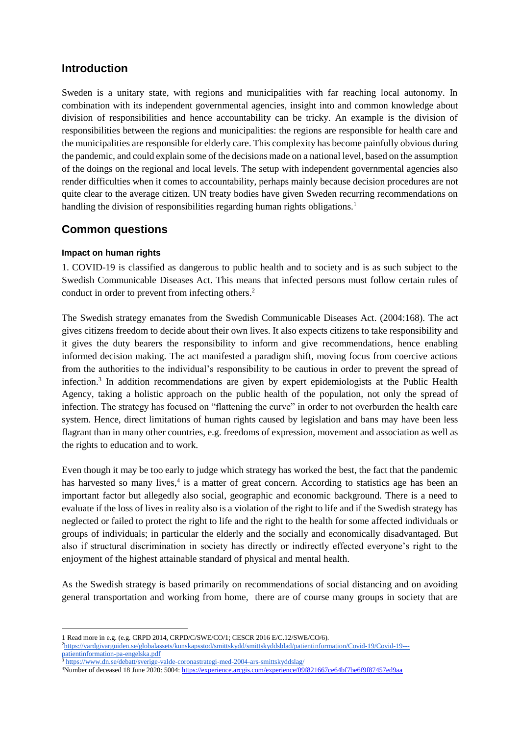### **Introduction**

Sweden is a unitary state, with regions and municipalities with far reaching local autonomy. In combination with its independent governmental agencies, insight into and common knowledge about division of responsibilities and hence accountability can be tricky. An example is the division of responsibilities between the regions and municipalities: the regions are responsible for health care and the municipalities are responsible for elderly care. This complexity has become painfully obvious during the pandemic, and could explain some of the decisions made on a national level, based on the assumption of the doings on the regional and local levels. The setup with independent governmental agencies also render difficulties when it comes to accountability, perhaps mainly because decision procedures are not quite clear to the average citizen. UN treaty bodies have given Sweden recurring recommendations on handling the division of responsibilities regarding human rights obligations.<sup>1</sup>

# **Common questions**

### **Impact on human rights**

1. COVID-19 is classified as dangerous to public health and to society and is as such subject to the Swedish Communicable Diseases Act. This means that infected persons must follow certain rules of conduct in order to prevent from infecting others.<sup>2</sup>

The Swedish strategy emanates from the Swedish Communicable Diseases Act. (2004:168). The act gives citizens freedom to decide about their own lives. It also expects citizens to take responsibility and it gives the duty bearers the responsibility to inform and give recommendations, hence enabling informed decision making. The act manifested a paradigm shift, moving focus from coercive actions from the authorities to the individual's responsibility to be cautious in order to prevent the spread of infection. 3 In addition recommendations are given by expert epidemiologists at the Public Health Agency, taking a holistic approach on the public health of the population, not only the spread of infection. The strategy has focused on "flattening the curve" in order to not overburden the health care system. Hence, direct limitations of human rights caused by legislation and bans may have been less flagrant than in many other countries, e.g. freedoms of expression, movement and association as well as the rights to education and to work.

Even though it may be too early to judge which strategy has worked the best, the fact that the pandemic has harvested so many lives,<sup>4</sup> is a matter of great concern. According to statistics age has been an important factor but allegedly also social, geographic and economic background. There is a need to evaluate if the loss of lives in reality also is a violation of the right to life and if the Swedish strategy has neglected or failed to protect the right to life and the right to the health for some affected individuals or groups of individuals; in particular the elderly and the socially and economically disadvantaged. But also if structural discrimination in society has directly or indirectly effected everyone's right to the enjoyment of the highest attainable standard of physical and mental health.

As the Swedish strategy is based primarily on recommendations of social distancing and on avoiding general transportation and working from home, there are of course many groups in society that are

<sup>1</sup> 1 Read more in e.g. (e.g. CRPD 2014, CRPD/C/SWE/CO/1; CESCR 2016 E/C.12/SWE/CO/6).

<sup>2</sup>[https://vardgivarguiden.se/globalassets/kunskapsstod/smittskydd/smittskyddsblad/patientinformation/Covid-19/Covid-19--](https://vardgivarguiden.se/globalassets/kunskapsstod/smittskydd/smittskyddsblad/patientinformation/covid-19/covid-19---patientinformation-pa-engelska.pdf) [patientinformation-pa-engelska.pdf](https://vardgivarguiden.se/globalassets/kunskapsstod/smittskydd/smittskyddsblad/patientinformation/covid-19/covid-19---patientinformation-pa-engelska.pdf)

<sup>&</sup>lt;sup>3</sup> <https://www.dn.se/debatt/sverige-valde-coronastrategi-med-2004-ars-smittskyddslag/>

<sup>4</sup>Number of deceased 18 June 2020: 5004[: https://experience.arcgis.com/experience/09f821667ce64bf7be6f9f87457ed9aa](https://experience.arcgis.com/experience/09f821667ce64bf7be6f9f87457ed9aa)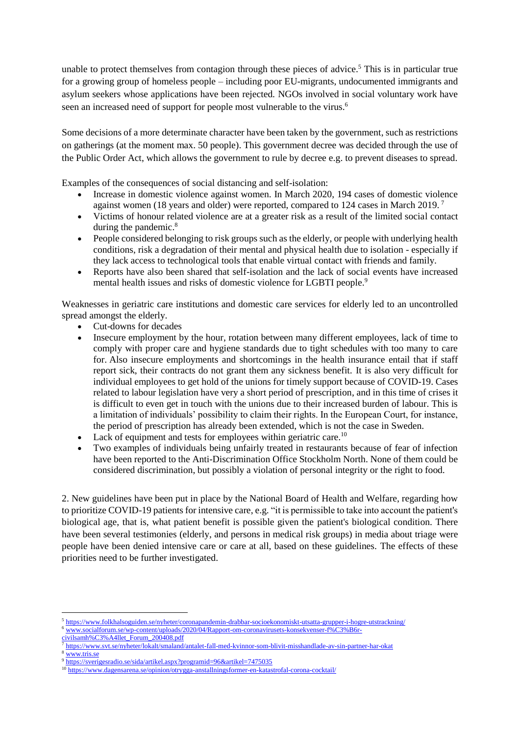unable to protect themselves from contagion through these pieces of advice.<sup>5</sup> This is in particular true for a growing group of homeless people – including poor EU-migrants, undocumented immigrants and asylum seekers whose applications have been rejected. NGOs involved in social voluntary work have seen an increased need of support for people most vulnerable to the virus.<sup>6</sup>

Some decisions of a more determinate character have been taken by the government, such as restrictions on gatherings (at the moment max. 50 people). This government decree was decided through the use of the Public Order Act, which allows the government to rule by decree e.g. to prevent diseases to spread.

Examples of the consequences of social distancing and self-isolation:

- Increase in domestic violence against women. In March 2020, 194 cases of domestic violence against women (18 years and older) were reported, compared to 124 cases in March 2019. <sup>7</sup>
- Victims of honour related violence are at a greater risk as a result of the limited social contact during the pandemic.<sup>8</sup>
- People considered belonging to risk groups such as the elderly, or people with underlying health conditions, risk a degradation of their mental and physical health due to isolation - especially if they lack access to technological tools that enable virtual contact with friends and family.
- Reports have also been shared that self-isolation and the lack of social events have increased mental health issues and risks of domestic violence for LGBTI people.<sup>9</sup>

Weaknesses in geriatric care institutions and domestic care services for elderly led to an uncontrolled spread amongst the elderly.

- Cut-downs for decades
- Insecure employment by the hour, rotation between many different employees, lack of time to comply with proper care and hygiene standards due to tight schedules with too many to care for. Also insecure employments and shortcomings in the health insurance entail that if staff report sick, their contracts do not grant them any sickness benefit. It is also very difficult for individual employees to get hold of the unions for timely support because of COVID-19. Cases related to labour legislation have very a short period of prescription, and in this time of crises it is difficult to even get in touch with the unions due to their increased burden of labour. This is a limitation of individuals' possibility to claim their rights. In the European Court, for instance, the period of prescription has already been extended, which is not the case in Sweden.
- Lack of equipment and tests for employees within geriatric care.<sup>10</sup>
- Two examples of individuals being unfairly treated in restaurants because of fear of infection have been reported to the Anti-Discrimination Office Stockholm North. None of them could be considered discrimination, but possibly a violation of personal integrity or the right to food.

2. New guidelines have been put in place by the National Board of Health and Welfare, regarding how to prioritize COVID-19 patients for intensive care, e.g. "it is permissible to take into account the patient's biological age, that is, what patient benefit is possible given the patient's biological condition. There have been several testimonies (elderly, and persons in medical risk groups) in media about triage were people have been denied intensive care or care at all, based on these guidelines. The effects of these priorities need to be further investigated.

<sup>3</sup> <www.tris.se>

<sup>1</sup> <sup>5</sup> <https://www.folkhalsoguiden.se/nyheter/coronapandemin-drabbar-socioekonomiskt-utsatta-grupper-i-hogre-utstrackning/>

<sup>6</sup> [www.socialforum.se/wp-content/uploads/2020/04/Rapport-om-coronavirusets-konsekvenser-f%C3%B6r](www.socialforum.se/wp-content/uploads/2020/04/Rapport-om-coronavirusets-konsekvenser-f%C3%B6r-civilsamh%C3%A4llet_Forum_200408.pdf)[civilsamh%C3%A4llet\\_Forum\\_200408.pdf](www.socialforum.se/wp-content/uploads/2020/04/Rapport-om-coronavirusets-konsekvenser-f%C3%B6r-civilsamh%C3%A4llet_Forum_200408.pdf)

<sup>7</sup> <https://www.svt.se/nyheter/lokalt/smaland/antalet-fall-med-kvinnor-som-blivit-misshandlade-av-sin-partner-har-okat>

<sup>9</sup> https://sverigesradio.se/sida/artikel.aspx?programid=96&artikel=7475035

<sup>10</sup> <https://www.dagensarena.se/opinion/otrygga-anstallningsformer-en-katastrofal-corona-cocktail/>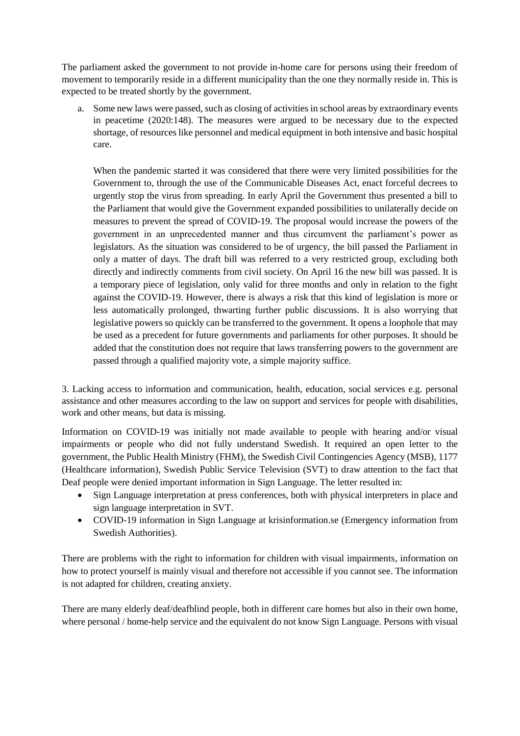The parliament asked the government to not provide in-home care for persons using their freedom of movement to temporarily reside in a different municipality than the one they normally reside in. This is expected to be treated shortly by the government.

a. Some new laws were passed, such as closing of activities in school areas by extraordinary events in peacetime (2020:148). The measures were argued to be necessary due to the expected shortage, of resources like personnel and medical equipment in both intensive and basic hospital care.

When the pandemic started it was considered that there were very limited possibilities for the Government to, through the use of the Communicable Diseases Act, enact forceful decrees to urgently stop the virus from spreading. In early April the Government thus presented a bill to the Parliament that would give the Government expanded possibilities to unilaterally decide on measures to prevent the spread of COVID-19. The proposal would increase the powers of the government in an unprecedented manner and thus circumvent the parliament's power as legislators. As the situation was considered to be of urgency, the bill passed the Parliament in only a matter of days. The draft bill was referred to a very restricted group, excluding both directly and indirectly comments from civil society. On April 16 the new bill was passed. It is a temporary piece of legislation, only valid for three months and only in relation to the fight against the COVID-19. However, there is always a risk that this kind of legislation is more or less automatically prolonged, thwarting further public discussions. It is also worrying that legislative powers so quickly can be transferred to the government. It opens a loophole that may be used as a precedent for future governments and parliaments for other purposes. It should be added that the constitution does not require that laws transferring powers to the government are passed through a qualified majority vote, a simple majority suffice.

3. Lacking access to information and communication, health, education, social services e.g. personal assistance and other measures according to the law on support and services for people with disabilities, work and other means, but data is missing.

Information on COVID-19 was initially not made available to people with hearing and/or visual impairments or people who did not fully understand Swedish. It required an open letter to the government, the Public Health Ministry (FHM), the Swedish Civil Contingencies Agency (MSB), 1177 (Healthcare information), Swedish Public Service Television (SVT) to draw attention to the fact that Deaf people were denied important information in Sign Language. The letter resulted in:

- Sign Language interpretation at press conferences, both with physical interpreters in place and sign language interpretation in SVT.
- COVID-19 information in Sign Language at krisinformation.se (Emergency information from Swedish Authorities).

There are problems with the right to information for children with visual impairments, information on how to protect yourself is mainly visual and therefore not accessible if you cannot see. The information is not adapted for children, creating anxiety.

There are many elderly deaf/deafblind people, both in different care homes but also in their own home, where personal / home-help service and the equivalent do not know Sign Language. Persons with visual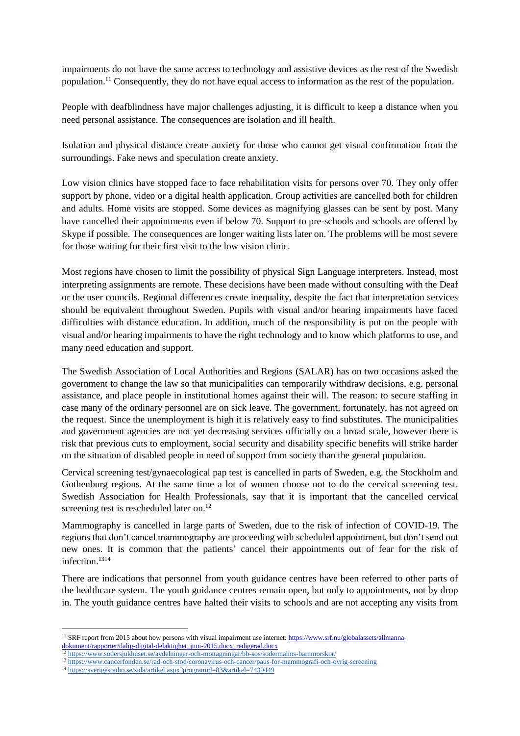impairments do not have the same access to technology and assistive devices as the rest of the Swedish population.<sup>11</sup> Consequently, they do not have equal access to information as the rest of the population.

People with deafblindness have major challenges adjusting, it is difficult to keep a distance when you need personal assistance. The consequences are isolation and ill health.

Isolation and physical distance create anxiety for those who cannot get visual confirmation from the surroundings. Fake news and speculation create anxiety.

Low vision clinics have stopped face to face rehabilitation visits for persons over 70. They only offer support by phone, video or a digital health application. Group activities are cancelled both for children and adults. Home visits are stopped. Some devices as magnifying glasses can be sent by post. Many have cancelled their appointments even if below 70. Support to pre-schools and schools are offered by Skype if possible. The consequences are longer waiting lists later on. The problems will be most severe for those waiting for their first visit to the low vision clinic.

Most regions have chosen to limit the possibility of physical Sign Language interpreters. Instead, most interpreting assignments are remote. These decisions have been made without consulting with the Deaf or the user councils. Regional differences create inequality, despite the fact that interpretation services should be equivalent throughout Sweden. Pupils with visual and/or hearing impairments have faced difficulties with distance education. In addition, much of the responsibility is put on the people with visual and/or hearing impairments to have the right technology and to know which platforms to use, and many need education and support.

The Swedish Association of Local Authorities and Regions (SALAR) has on two occasions asked the government to change the law so that municipalities can temporarily withdraw decisions, e.g. personal assistance, and place people in institutional homes against their will. The reason: to secure staffing in case many of the ordinary personnel are on sick leave. The government, fortunately, has not agreed on the request. Since the unemployment is high it is relatively easy to find substitutes. The municipalities and government agencies are not yet decreasing services officially on a broad scale, however there is risk that previous cuts to employment, social security and disability specific benefits will strike harder on the situation of disabled people in need of support from society than the general population.

Cervical screening test/gynaecological pap test is cancelled in parts of Sweden, e.g. the Stockholm and Gothenburg regions. At the same time a lot of women choose not to do the cervical screening test. Swedish Association for Health Professionals, say that it is important that the cancelled cervical screening test is rescheduled later on.<sup>12</sup>

Mammography is cancelled in large parts of Sweden, due to the risk of infection of COVID-19. The regions that don't cancel mammography are proceeding with scheduled appointment, but don't send out new ones. It is common that the patients' cancel their appointments out of fear for the risk of infection<sup>1314</sup>

There are indications that personnel from youth guidance centres have been referred to other parts of the healthcare system. The youth guidance centres remain open, but only to appointments, not by drop in. The youth guidance centres have halted their visits to schools and are not accepting any visits from

<sup>&</sup>lt;sup>11</sup> SRF report from 2015 about how persons with visual impairment use internet[: https://www.srf.nu/globalassets/allmanna](https://www.srf.nu/globalassets/allmanna-dokument/rapporter/dalig-digital-delaktighet_juni-2015.docx_redigerad.docx)[dokument/rapporter/dalig-digital-delaktighet\\_juni-2015.docx\\_redigerad.docx](https://www.srf.nu/globalassets/allmanna-dokument/rapporter/dalig-digital-delaktighet_juni-2015.docx_redigerad.docx)

<sup>12</sup> <https://www.sodersjukhuset.se/avdelningar-och-mottagningar/bb-sos/sodermalms-barnmorskor/>

<sup>13</sup> <https://www.cancerfonden.se/rad-och-stod/coronavirus-och-cancer/paus-for-mammografi-och-ovrig-screening>

<sup>14</sup> <https://sverigesradio.se/sida/artikel.aspx?programid=83&artikel=7439449>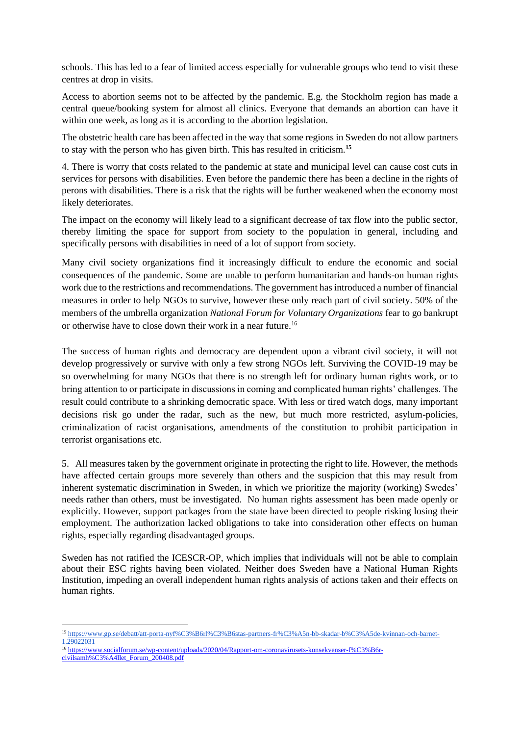schools. This has led to a fear of limited access especially for vulnerable groups who tend to visit these centres at drop in visits.

Access to abortion seems not to be affected by the pandemic. E.g. the Stockholm region has made a central queue/booking system for almost all clinics. Everyone that demands an abortion can have it within one week, as long as it is according to the abortion legislation.

The obstetric health care has been affected in the way that some regions in Sweden do not allow partners to stay with the person who has given birth. This has resulted in criticism.**<sup>15</sup>**

4. There is worry that costs related to the pandemic at state and municipal level can cause cost cuts in services for persons with disabilities. Even before the pandemic there has been a decline in the rights of perons with disabilities. There is a risk that the rights will be further weakened when the economy most likely deteriorates.

The impact on the economy will likely lead to a significant decrease of tax flow into the public sector, thereby limiting the space for support from society to the population in general, including and specifically persons with disabilities in need of a lot of support from society.

Many civil society organizations find it increasingly difficult to endure the economic and social consequences of the pandemic. Some are unable to perform humanitarian and hands-on human rights work due to the restrictions and recommendations. The government has introduced a number of financial measures in order to help NGOs to survive, however these only reach part of civil society. 50% of the members of the umbrella organization *National Forum for Voluntary Organizations* fear to go bankrupt or otherwise have to close down their work in a near future.<sup>16</sup>

The success of human rights and democracy are dependent upon a vibrant civil society, it will not develop progressively or survive with only a few strong NGOs left. Surviving the COVID-19 may be so overwhelming for many NGOs that there is no strength left for ordinary human rights work, or to bring attention to or participate in discussions in coming and complicated human rights' challenges. The result could contribute to a shrinking democratic space. With less or tired watch dogs, many important decisions risk go under the radar, such as the new, but much more restricted, asylum-policies, criminalization of racist organisations, amendments of the constitution to prohibit participation in terrorist organisations etc.

5. All measures taken by the government originate in protecting the right to life. However, the methods have affected certain groups more severely than others and the suspicion that this may result from inherent systematic discrimination in Sweden, in which we prioritize the majority (working) Swedes' needs rather than others, must be investigated. No human rights assessment has been made openly or explicitly. However, support packages from the state have been directed to people risking losing their employment. The authorization lacked obligations to take into consideration other effects on human rights, especially regarding disadvantaged groups.

Sweden has not ratified the ICESCR-OP, which implies that individuals will not be able to complain about their ESC rights having been violated. Neither does Sweden have a National Human Rights Institution, impeding an overall independent human rights analysis of actions taken and their effects on human rights.

<sup>16</sup> [https://www.socialforum.se/wp-content/uploads/2020/04/Rapport-om-coronavirusets-konsekvenser-f%C3%B6r](https://www.socialforum.se/wp-content/uploads/2020/04/Rapport-om-coronavirusets-konsekvenser-f%C3%B6r-civilsamh%C3%A4llet_Forum_200408.pdf)[civilsamh%C3%A4llet\\_Forum\\_200408.pdf](https://www.socialforum.se/wp-content/uploads/2020/04/Rapport-om-coronavirusets-konsekvenser-f%C3%B6r-civilsamh%C3%A4llet_Forum_200408.pdf)

<sup>15</sup> https://www.gp.se/debatt/att-porta-nyf%C3%B6rl%C3%B6stas-partners-fr%C3%A5n-bb-skadar-b%C3%A5de-kvinnan-och-barnet-1.29022031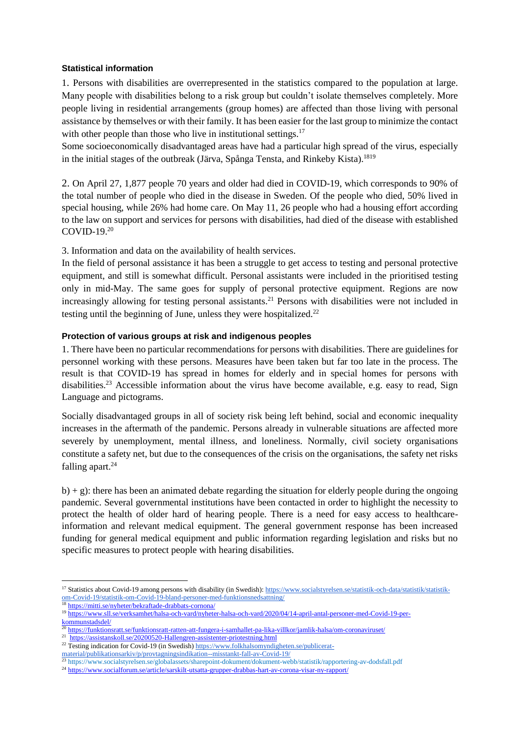#### **Statistical information**

1. Persons with disabilities are overrepresented in the statistics compared to the population at large. Many people with disabilities belong to a risk group but couldn't isolate themselves completely. More people living in residential arrangements (group homes) are affected than those living with personal assistance by themselves or with their family. It has been easier for the last group to minimize the contact with other people than those who live in institutional settings. $17$ 

Some socioeconomically disadvantaged areas have had a particular high spread of the virus, especially in the initial stages of the outbreak (Järva, Spånga Tensta, and Rinkeby Kista). 1819

2. On April 27, 1,877 people 70 years and older had died in COVID-19, which corresponds to 90% of the total number of people who died in the disease in Sweden. Of the people who died, 50% lived in special housing, while 26% had home care. On May 11, 26 people who had a housing effort according to the law on support and services for persons with disabilities, had died of the disease with established COVID-19.<sup>20</sup>

3. Information and data on the availability of health services.

In the field of personal assistance it has been a struggle to get access to testing and personal protective equipment, and still is somewhat difficult. Personal assistants were included in the prioritised testing only in mid-May. The same goes for supply of personal protective equipment. Regions are now increasingly allowing for testing personal assistants.<sup>21</sup> Persons with disabilities were not included in testing until the beginning of June, unless they were hospitalized.<sup>22</sup>

#### **Protection of various groups at risk and indigenous peoples**

1. There have been no particular recommendations for persons with disabilities. There are guidelines for personnel working with these persons. Measures have been taken but far too late in the process. The result is that COVID-19 has spread in homes for elderly and in special homes for persons with disabilities.<sup>23</sup> Accessible information about the virus have become available, e.g. easy to read, Sign Language and pictograms.

Socially disadvantaged groups in all of society risk being left behind, social and economic inequality increases in the aftermath of the pandemic. Persons already in vulnerable situations are affected more severely by unemployment, mental illness, and loneliness. Normally, civil society organisations constitute a safety net, but due to the consequences of the crisis on the organisations, the safety net risks falling apart.<sup>24</sup>

 $b$ ) + g): there has been an animated debate regarding the situation for elderly people during the ongoing pandemic. Several governmental institutions have been contacted in order to highlight the necessity to protect the health of older hard of hearing people. There is a need for easy access to healthcareinformation and relevant medical equipment. The general government response has been increased funding for general medical equipment and public information regarding legislation and risks but no specific measures to protect people with hearing disabilities.

<sup>1</sup> <sup>17</sup> Statistics about Covid-19 among persons with disability (in Swedish)[: https://www.socialstyrelsen.se/statistik-och-data/statistik/statistik](https://www.socialstyrelsen.se/statistik-och-data/statistik/statistik-om-covid-19/statistik-om-covid-19-bland-personer-med-funktionsnedsattning/)[om-Covid-19/statistik-om-Covid-19-bland-personer-med-funktionsnedsattning/](https://www.socialstyrelsen.se/statistik-och-data/statistik/statistik-om-covid-19/statistik-om-covid-19-bland-personer-med-funktionsnedsattning/)

<sup>&</sup>lt;sup>18</sup> <https://mitti.se/nyheter/bekraftade-drabbats-cornona/>

<sup>19</sup> [https://www.sll.se/verksamhet/halsa-och-vard/nyheter-halsa-och-vard/2020/04/14-april-antal-personer-med-Covid-19-per](https://www.sll.se/verksamhet/halsa-och-vard/nyheter-halsa-och-vard/2020/04/14-april-antal-personer-med-covid-19-per-kommunstadsdel/)[kommunstadsdel/](https://www.sll.se/verksamhet/halsa-och-vard/nyheter-halsa-och-vard/2020/04/14-april-antal-personer-med-covid-19-per-kommunstadsdel/)

<sup>20</sup> <https://funktionsratt.se/funktionsratt-ratten-att-fungera-i-samhallet-pa-lika-villkor/jamlik-halsa/om-coronaviruset/>

<sup>&</sup>lt;sup>21</sup> <https://assistanskoll.se/20200520-Hallengren-assistenter-priotestning.html>

<sup>&</sup>lt;sup>22</sup> Testing indication for Covid-19 (in Swedish[\) https://www.folkhalsomyndigheten.se/publicerat-](https://www.folkhalsomyndigheten.se/publicerat-material/publikationsarkiv/p/provtagningsindikation--misstankt-fall-av-covid-19/)

[material/publikationsarkiv/p/provtagningsindikation--misstankt-fall-av-Covid-19/](https://www.folkhalsomyndigheten.se/publicerat-material/publikationsarkiv/p/provtagningsindikation--misstankt-fall-av-covid-19/)

<sup>&</sup>lt;sup>23</sup> https://www.socialstyrelsen.se/globalassets/sharepoint-dokument/dokument-webb/statistik/rapportering-av-dodsfall.pdf

<sup>24</sup> https://www.socialforum.se/article/sarskilt-utsatta-grupper-drabbas-hart-av-corona-visar-ny-rapport/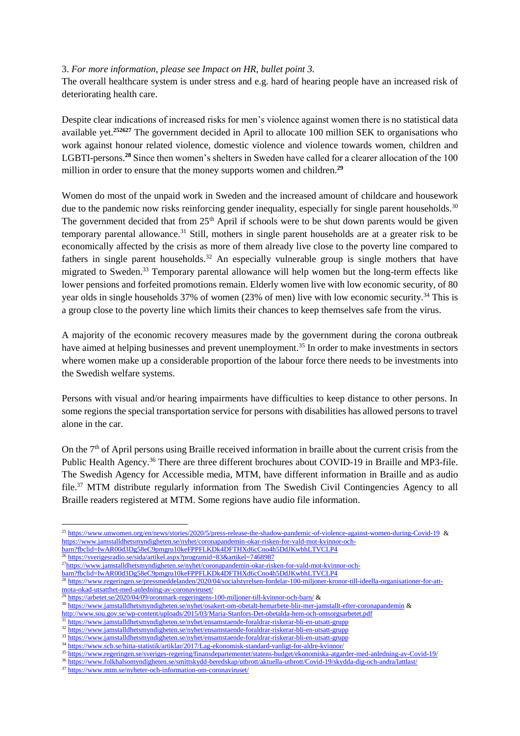#### 3. *For more information, please see Impact on HR, bullet point 3.*

The overall healthcare system is under stress and e.g. hard of hearing people have an increased risk of deteriorating health care.

Despite clear indications of increased risks for men's violence against women there is no statistical data available yet.**<sup>252627</sup>** The government decided in April to allocate 100 million SEK to organisations who work against honour related violence, domestic violence and violence towards women, children and LGBTI-persons.**<sup>28</sup>** Since then women's shelters in Sweden have called for a clearer allocation of the 100 million in order to ensure that the money supports women and children.**<sup>29</sup>**

Women do most of the unpaid work in Sweden and the increased amount of childcare and housework due to the pandemic now risks reinforcing gender inequality, especially for single parent households.<sup>30</sup> The government decided that from 25<sup>th</sup> April if schools were to be shut down parents would be given temporary parental allowance.<sup>31</sup> Still, mothers in single parent households are at a greater risk to be economically affected by the crisis as more of them already live close to the poverty line compared to fathers in single parent households.<sup>32</sup> An especially vulnerable group is single mothers that have migrated to Sweden.<sup>33</sup> Temporary parental allowance will help women but the long-term effects like lower pensions and forfeited promotions remain. Elderly women live with low economic security, of 80 year olds in single households 37% of women (23% of men) live with low economic security.<sup>34</sup> This is a group close to the poverty line which limits their chances to keep themselves safe from the virus.

A majority of the economic recovery measures made by the government during the corona outbreak have aimed at helping businesses and prevent unemployment.<sup>35</sup> In order to make investments in sectors where women make up a considerable proportion of the labour force there needs to be investments into the Swedish welfare systems.

Persons with visual and/or hearing impairments have difficulties to keep distance to other persons. In some regions the special transportation service for persons with disabilities has allowed persons to travel alone in the car.

On the  $7<sup>th</sup>$  of April persons using Braille received information in braille about the current crisis from the Public Health Agency.<sup>36</sup> There are three different brochures about COVID-19 in Braille and MP3-file. The Swedish Agency for Accessible media, MTM, have different information in Braille and as audio file.<sup>37</sup> MTM distribute regularly information from The Swedish Civil Contingencies Agency to all Braille readers registered at MTM. Some regions have audio file information.

1

[barn?fbclid=IwAR00d3Dg58eC9pmgru10keFPPFLKDk4DFTHXd6cCno4h5DdJKwbhLTVCLP4](https://www.jamstalldhetsmyndigheten.se/nyhet/coronapandemin-okar-risken-for-vald-mot-kvinnor-och-barn?fbclid=IwAR00d3Dg58eC9pmgru10keFPPFLKDk4DFTHXd6cCno4h5DdJKwbhLTVCLP4)

<sup>25</sup> [https://www.unwomen.org/en/news/stories/2020/5/press-release-the-shadow-pandemic-of-violence-against-women-during-Covid-19](https://www.unwomen.org/en/news/stories/2020/5/press-release-the-shadow-pandemic-of-violence-against-women-during-covid-19) & [https://www.jamstalldhetsmyndigheten.se/nyhet/coronapandemin-okar-risken-for-vald-mot-kvinnor-och](https://www.jamstalldhetsmyndigheten.se/nyhet/coronapandemin-okar-risken-for-vald-mot-kvinnor-och-barn?fbclid=IwAR00d3Dg58eC9pmgru10keFPPFLKDk4DFTHXd6cCno4h5DdJKwbhLTVCLP4)[barn?fbclid=IwAR00d3Dg58eC9pmgru10keFPPFLKDk4DFTHXd6cCno4h5DdJKwbhLTVCLP4](https://www.jamstalldhetsmyndigheten.se/nyhet/coronapandemin-okar-risken-for-vald-mot-kvinnor-och-barn?fbclid=IwAR00d3Dg58eC9pmgru10keFPPFLKDk4DFTHXd6cCno4h5DdJKwbhLTVCLP4)

<sup>26</sup> <https://sverigesradio.se/sida/artikel.aspx?programid=83&artikel=7468987>

<sup>&</sup>lt;sup>27</sup>[https://www.jamstalldhetsmyndigheten.se/nyhet/coronapandemin-okar-risken-for-vald-mot-kvinnor-och-](https://www.jamstalldhetsmyndigheten.se/nyhet/coronapandemin-okar-risken-for-vald-mot-kvinnor-och-barn?fbclid=IwAR00d3Dg58eC9pmgru10keFPPFLKDk4DFTHXd6cCno4h5DdJKwbhLTVCLP4)

<sup>28</sup> [https://www.regeringen.se/pressmeddelanden/2020/04/socialstyrelsen-fordelar-100-miljoner-kronor-till-ideella-organisationer-for-att](https://www.regeringen.se/pressmeddelanden/2020/04/socialstyrelsen-fordelar-100-miljoner-kronor-till-ideella-organisationer-for-att-mota-okad-utsatthet-med-anledning-av-coronaviruset/)[mota-okad-utsatthet-med-anledning-av-coronaviruset/](https://www.regeringen.se/pressmeddelanden/2020/04/socialstyrelsen-fordelar-100-miljoner-kronor-till-ideella-organisationer-for-att-mota-okad-utsatthet-med-anledning-av-coronaviruset/)

<sup>&</sup>lt;sup>29</sup> <https://arbetet.se/2020/04/09/oronmark-regeringens-100-miljoner-till-kvinnor-och-barn/> &

<sup>30</sup> <https://www.jamstalldhetsmyndigheten.se/nyhet/osakert-om-obetalt-hemarbete-blir-mer-jamstallt-efter-coronapandemin> &

<http://www.sou.gov.se/wp-content/uploads/2015/03/Maria-Stanfors-Det-obetalda-hem-och-omsorgsarbetet.pdf>

<sup>31</sup> <https://www.jamstalldhetsmyndigheten.se/nyhet/ensamstaende-foraldrar-riskerar-bli-en-utsatt-grupp>

<sup>32</sup> <https://www.jamstalldhetsmyndigheten.se/nyhet/ensamstaende-foraldrar-riskerar-bli-en-utsatt-grupp> <sup>33</sup> <https://www.jamstalldhetsmyndigheten.se/nyhet/ensamstaende-foraldrar-riskerar-bli-en-utsatt-grupp>

 $\frac{34 \text{ https://www.scb.se/hitta-statistik/artiklar/2017/Lag-ekonomisk-standard-vanligt-for-aldre-kvinnor/} {35 \text{ https://www.scb.se/hitta-statistik/artiklar/2017/Lag-ekonomisk-standard-vanligt-for-aldre-kvinnor/} }$  $\frac{34 \text{ https://www.scb.se/hitta-statistik/artiklar/2017/Lag-ekonomisk-standard-vanligt-for-aldre-kvinnor/} {35 \text{ https://www.scb.se/hitta-statistik/artiklar/2017/Lag-ekonomisk-standard-vanligt-for-aldre-kvinnor/} }$  $\frac{34 \text{ https://www.scb.se/hitta-statistik/artiklar/2017/Lag-ekonomisk-standard-vanligt-for-aldre-kvinnor/} {35 \text{ https://www.scb.se/hitta-statistik/artiklar/2017/Lag-ekonomisk-standard-vanligt-for-aldre-kvinnor/} }$ 

<sup>35</sup> [https://www.regeringen.se/sveriges-regering/finansdepartementet/statens-budget/ekonomiska-atgarder-med-anledning-av-Covid-19/](https://www.regeringen.se/sveriges-regering/finansdepartementet/statens-budget/ekonomiska-atgarder-med-anledning-av-covid-19/)

<sup>36</sup> [https://www.folkhalsomyndigheten.se/smittskydd-beredskap/utbrott/aktuella-utbrott/Covid-19/skydda-dig-och-andra/lattlast/](https://www.folkhalsomyndigheten.se/smittskydd-beredskap/utbrott/aktuella-utbrott/covid-19/skydda-dig-och-andra/lattlast/)

<sup>&</sup>lt;sup>37</sup> <https://www.mtm.se/nyheter-och-information-om-coronaviruset/>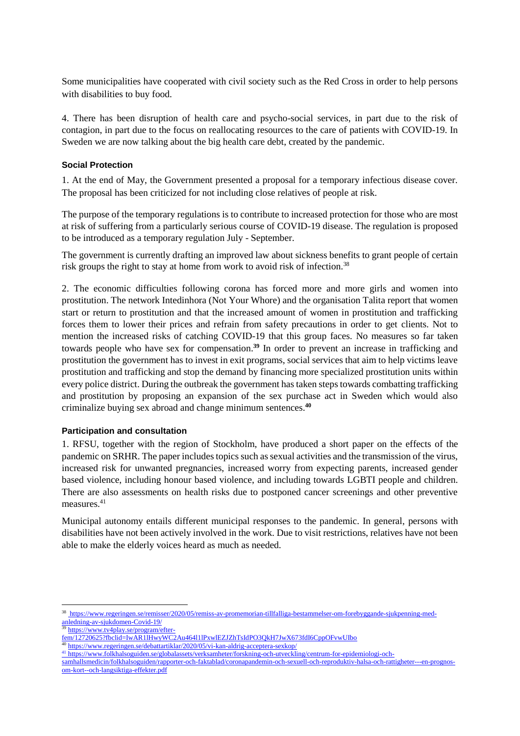Some municipalities have cooperated with civil society such as the Red Cross in order to help persons with disabilities to buy food.

4. There has been disruption of health care and psycho-social services, in part due to the risk of contagion, in part due to the focus on reallocating resources to the care of patients with COVID-19. In Sweden we are now talking about the big health care debt, created by the pandemic.

#### **Social Protection**

1. At the end of May, the Government presented a proposal for a temporary infectious disease cover. The proposal has been criticized for not including close relatives of people at risk.

The purpose of the temporary regulations is to contribute to increased protection for those who are most at risk of suffering from a particularly serious course of COVID-19 disease. The regulation is proposed to be introduced as a temporary regulation July - September.

The government is currently drafting an improved law about sickness benefits to grant people of certain risk groups the right to stay at home from work to avoid risk of infection.<sup>38</sup>

2. The economic difficulties following corona has forced more and more girls and women into prostitution. The network Intedinhora (Not Your Whore) and the organisation Talita report that women start or return to prostitution and that the increased amount of women in prostitution and trafficking forces them to lower their prices and refrain from safety precautions in order to get clients. Not to mention the increased risks of catching COVID-19 that this group faces. No measures so far taken towards people who have sex for compensation. **<sup>39</sup>** In order to prevent an increase in trafficking and prostitution the government has to invest in exit programs, social services that aim to help victims leave prostitution and trafficking and stop the demand by financing more specialized prostitution units within every police district. During the outbreak the government has taken steps towards combatting trafficking and prostitution by proposing an expansion of the sex purchase act in Sweden which would also criminalize buying sex abroad and change minimum sentences. **40**

#### **Participation and consultation**

1. RFSU, together with the region of Stockholm, have produced a short paper on the effects of the pandemic on SRHR. The paper includes topics such as sexual activities and the transmission of the virus, increased risk for unwanted pregnancies, increased worry from expecting parents, increased gender based violence, including honour based violence, and including towards LGBTI people and children. There are also assessments on health risks due to postponed cancer screenings and other preventive measures.<sup>41</sup>

Municipal autonomy entails different municipal responses to the pandemic. In general, persons with disabilities have not been actively involved in the work. Due to visit restrictions, relatives have not been able to make the elderly voices heard as much as needed.

<sup>39</sup> [https://www.tv4play.se/program/efter-](https://www.tv4play.se/program/efter-fem/12720625?fbclid=IwAR1lHwyWC2Au464l1lPxwlEZJZhTsIdPO3QkH7JwX673fdI6CppOFvwUIbo)

<u>.</u>

<sup>38</sup> [https://www.regeringen.se/remisser/2020/05/remiss-av-promemorian-tillfalliga-bestammelser-om-forebyggande-sjukpenning-med](https://www.regeringen.se/remisser/2020/05/remiss-av-promemorian-tillfalliga-bestammelser-om-forebyggande-sjukpenning-med-anledning-av-sjukdomen-covid-19/)[anledning-av-sjukdomen-Covid-19/](https://www.regeringen.se/remisser/2020/05/remiss-av-promemorian-tillfalliga-bestammelser-om-forebyggande-sjukpenning-med-anledning-av-sjukdomen-covid-19/)

[fem/12720625?fbclid=IwAR1lHwyWC2Au464l1lPxwlEZJZhTsIdPO3QkH7JwX673fdI6CppOFvwUIbo](https://www.tv4play.se/program/efter-fem/12720625?fbclid=IwAR1lHwyWC2Au464l1lPxwlEZJZhTsIdPO3QkH7JwX673fdI6CppOFvwUIbo)

<sup>40</sup> <https://www.regeringen.se/debattartiklar/2020/05/vi-kan-aldrig-acceptera-sexkop/>

<sup>41</sup> [https://www.folkhalsoguiden.se/globalassets/verksamheter/forskning-och-utveckling/centrum-for-epidemiologi-och-](https://www.folkhalsoguiden.se/globalassets/verksamheter/forskning-och-utveckling/centrum-for-epidemiologi-och-samhallsmedicin/folkhalsoguiden/rapporter-och-faktablad/coronapandemin-och-sexuell-och-reproduktiv-halsa-och-rattigheter---en-prognos-om-kort--och-langsiktiga-effekter..pdf)

[samhallsmedicin/folkhalsoguiden/rapporter-och-faktablad/coronapandemin-och-sexuell-och-reproduktiv-halsa-och-rattigheter---en-prognos](https://www.folkhalsoguiden.se/globalassets/verksamheter/forskning-och-utveckling/centrum-for-epidemiologi-och-samhallsmedicin/folkhalsoguiden/rapporter-och-faktablad/coronapandemin-och-sexuell-och-reproduktiv-halsa-och-rattigheter---en-prognos-om-kort--och-langsiktiga-effekter..pdf)[om-kort--och-langsiktiga-effekter.pdf](https://www.folkhalsoguiden.se/globalassets/verksamheter/forskning-och-utveckling/centrum-for-epidemiologi-och-samhallsmedicin/folkhalsoguiden/rapporter-och-faktablad/coronapandemin-och-sexuell-och-reproduktiv-halsa-och-rattigheter---en-prognos-om-kort--och-langsiktiga-effekter..pdf)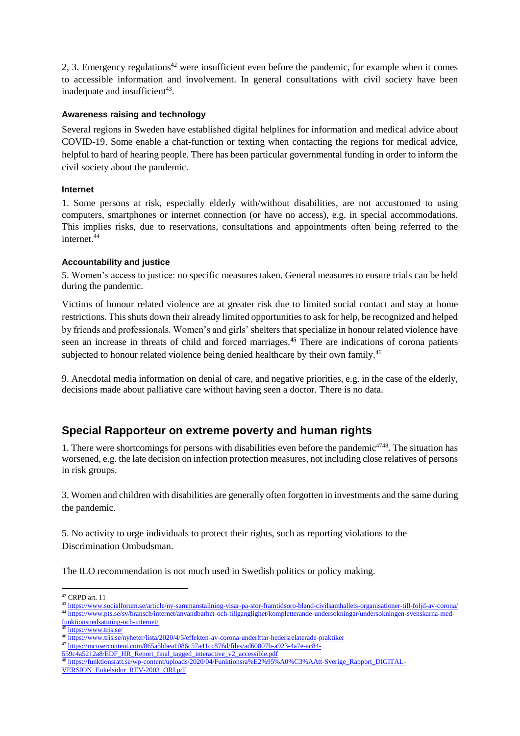2, 3. Emergency regulations <sup>42</sup> were insufficient even before the pandemic, for example when it comes to accessible information and involvement. In general consultations with civil society have been inadequate and insufficient<sup>43</sup>.

#### **Awareness raising and technology**

Several regions in Sweden have established digital helplines for information and medical advice about COVID-19. Some enable a chat-function or texting when contacting the regions for medical advice, helpful to hard of hearing people. There has been particular governmental funding in order to inform the civil society about the pandemic.

#### **Internet**

1. Some persons at risk, especially elderly with/without disabilities, are not accustomed to using computers, smartphones or internet connection (or have no access), e.g. in special accommodations. This implies risks, due to reservations, consultations and appointments often being referred to the internet. 44

#### **Accountability and justice**

5. Women's access to justice: no specific measures taken. General measures to ensure trials can be held during the pandemic.

Victims of honour related violence are at greater risk due to limited social contact and stay at home restrictions. This shuts down their already limited opportunities to ask for help, be recognized and helped by friends and professionals. Women's and girls' shelters that specialize in honour related violence have seen an increase in threats of child and forced marriages.**<sup>45</sup>** There are indications of corona patients subjected to honour related violence being denied healthcare by their own family.<sup>46</sup>

9. Anecdotal media information on denial of care, and negative priorities, e.g. in the case of the elderly, decisions made about palliative care without having seen a doctor. There is no data.

### **Special Rapporteur on extreme poverty and human rights**

1. There were shortcomings for persons with disabilities even before the pandemic $4748$ . The situation has worsened, e.g. the late decision on infection protection measures, not including close relatives of persons in risk groups.

3. Women and children with disabilities are generally often forgotten in investments and the same during the pandemic.

5. No activity to urge individuals to protect their rights, such as reporting violations to the Discrimination Ombudsman.

The ILO recommendation is not much used in Swedish politics or policy making.

[559c4a5212a8/EDF\\_HR\\_Report\\_final\\_tagged\\_interactive\\_v2\\_accessible.pdf](https://mcusercontent.com/865a5bbea1086c57a41cc876d/files/ad60807b-a923-4a7e-ac84-559c4a5212a8/EDF_HR_Report_final_tagged_interactive_v2_accessible.pdf)

<sup>&</sup>lt;u>.</u> <sup>42</sup> CRPD art. 11

<sup>43</sup> <https://www.socialforum.se/article/ny-sammanstallning-visar-pa-stor-framtidsoro-bland-civilsamhallets-organisationer-till-foljd-av-corona/> <sup>44</sup> [https://www.pts.se/sv/bransch/internet/anvandbarhet-och-tillganglighet/kompletterande-undersokningar/undersokningen-svenskarna-med-](https://www.pts.se/sv/bransch/internet/anvandbarhet-och-tillganglighet/kompletterande-undersokningar/undersokningen-svenskarna-med-funktionsnedsattning-och-internet/)

[funktionsnedsattning-och-internet/](https://www.pts.se/sv/bransch/internet/anvandbarhet-och-tillganglighet/kompletterande-undersokningar/undersokningen-svenskarna-med-funktionsnedsattning-och-internet/)

<sup>45</sup> <https://www.tris.se/>

<sup>46</sup> <https://www.tris.se/nyheter/lista/2020/4/5/effekten-av-corona-underlttar-hedersrelaterade-praktiker>

<sup>47</sup> [https://mcusercontent.com/865a5bbea1086c57a41cc876d/files/ad60807b-a923-4a7e-ac84-](https://mcusercontent.com/865a5bbea1086c57a41cc876d/files/ad60807b-a923-4a7e-ac84-559c4a5212a8/EDF_HR_Report_final_tagged_interactive_v2_accessible.pdf)

<sup>48</sup> [https://funktionsratt.se/wp-content/uploads/2020/04/Funktionsra%E2%95%A0%C3%AAtt-Sverige\\_Rapport\\_DIGITAL-](https://funktionsratt.se/wp-content/uploads/2020/04/Funktionsra%E2%95%A0%C3%AAtt-Sverige_Rapport_DIGITAL-VERSION_Enkelsidor_REV-2003_ORI.pdf)

[VERSION\\_Enkelsidor\\_REV-2003\\_ORI.pdf](https://funktionsratt.se/wp-content/uploads/2020/04/Funktionsra%E2%95%A0%C3%AAtt-Sverige_Rapport_DIGITAL-VERSION_Enkelsidor_REV-2003_ORI.pdf)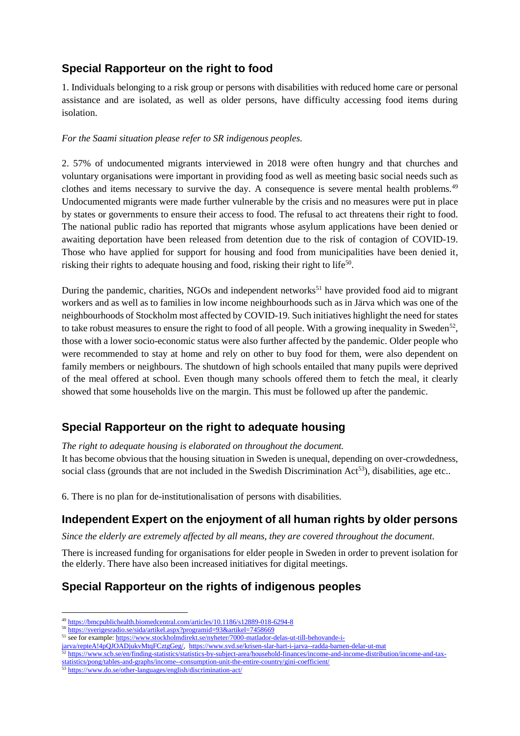# **Special Rapporteur on the right to food**

1. Individuals belonging to a risk group or persons with disabilities with reduced home care or personal assistance and are isolated, as well as older persons, have difficulty accessing food items during isolation.

### *For the Saami situation please refer to SR indigenous peoples.*

2. 57% of undocumented migrants interviewed in 2018 were often hungry and that churches and voluntary organisations were important in providing food as well as meeting basic social needs such as clothes and items necessary to survive the day. A consequence is severe mental health problems.<sup>49</sup> Undocumented migrants were made further vulnerable by the crisis and no measures were put in place by states or governments to ensure their access to food. The refusal to act threatens their right to food. The national public radio has reported that migrants whose asylum applications have been denied or awaiting deportation have been released from detention due to the risk of contagion of COVID-19. Those who have applied for support for housing and food from municipalities have been denied it, risking their rights to adequate housing and food, risking their right to life<sup>50</sup>.

During the pandemic, charities, NGOs and independent networks<sup>51</sup> have provided food aid to migrant workers and as well as to families in low income neighbourhoods such as in Järva which was one of the neighbourhoods of Stockholm most affected by COVID-19. Such initiatives highlight the need for states to take robust measures to ensure the right to food of all people. With a growing inequality in Sweden<sup>52</sup>, those with a lower socio-economic status were also further affected by the pandemic. Older people who were recommended to stay at home and rely on other to buy food for them, were also dependent on family members or neighbours. The shutdown of high schools entailed that many pupils were deprived of the meal offered at school. Even though many schools offered them to fetch the meal, it clearly showed that some households live on the margin. This must be followed up after the pandemic.

# **Special Rapporteur on the right to adequate housing**

*The right to adequate housing is elaborated on throughout the document.* It has become obvious that the housing situation in Sweden is unequal, depending on over-crowdedness, social class (grounds that are not included in the Swedish Discrimination  $Act^{53}$ ), disabilities, age etc..

6. There is no plan for de-institutionalisation of persons with disabilities.

# **Independent Expert on the enjoyment of all human rights by older persons**

*Since the elderly are extremely affected by all means, they are covered throughout the document.* 

There is increased funding for organisations for elder people in Sweden in order to prevent isolation for the elderly. There have also been increased initiatives for digital meetings.

# **Special Rapporteur on the rights of indigenous peoples**

<sup>49</sup> <https://bmcpublichealth.biomedcentral.com/articles/10.1186/s12889-018-6294-8>

<sup>50</sup> <https://sverigesradio.se/sida/artikel.aspx?programid=93&artikel=7458669>

<sup>51</sup> see for example[: https://www.stockholmdirekt.se/nyheter/7000-matlador-delas-ut-till-behovande-i-](https://www.stockholmdirekt.se/nyheter/7000-matlador-delas-ut-till-behovande-i-jarva/repteA!4pQJOADjukvMtqFCztgGeg/)

[jarva/repteA!4pQJOADjukvMtqFCztgGeg/,](https://www.stockholmdirekt.se/nyheter/7000-matlador-delas-ut-till-behovande-i-jarva/repteA!4pQJOADjukvMtqFCztgGeg/) <https://www.svd.se/krisen-slar-hart-i-jarva--radda-barnen-delar-ut-mat>

<sup>&</sup>lt;sup>52</sup> [https://www.scb.se/en/finding-statistics/statistics-by-subject-area/household-finances/income-and-income-distribution/income-and-tax](https://www.scb.se/en/finding-statistics/statistics-by-subject-area/household-finances/income-and-income-distribution/income-and-tax-statistics/pong/tables-and-graphs/income--consumption-unit-the-entire-country/gini-coefficient/)[statistics/pong/tables-and-graphs/income--consumption-unit-the-entire-country/gini-coefficient/](https://www.scb.se/en/finding-statistics/statistics-by-subject-area/household-finances/income-and-income-distribution/income-and-tax-statistics/pong/tables-and-graphs/income--consumption-unit-the-entire-country/gini-coefficient/)

<sup>53</sup> <https://www.do.se/other-languages/english/discrimination-act/>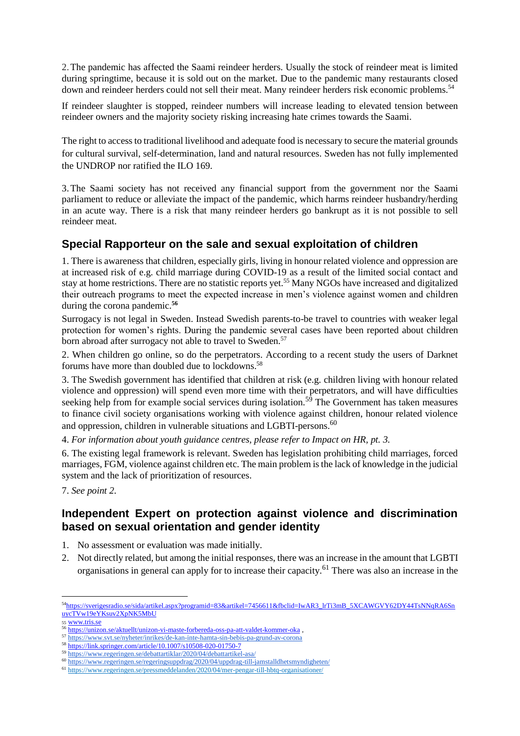2.The pandemic has affected the Saami reindeer herders. Usually the stock of reindeer meat is limited during springtime, because it is sold out on the market. Due to the pandemic many restaurants closed down and reindeer herders could not sell their meat. Many reindeer herders risk economic problems.<sup>54</sup>

If reindeer slaughter is stopped, reindeer numbers will increase leading to elevated tension between reindeer owners and the majority society risking increasing hate crimes towards the Saami.

The right to access to traditional livelihood and adequate food is necessary to secure the material grounds for cultural survival, self-determination, land and natural resources. Sweden has not fully implemented the UNDROP nor ratified the ILO 169.

3.The Saami society has not received any financial support from the government nor the Saami parliament to reduce or alleviate the impact of the pandemic, which harms reindeer husbandry/herding in an acute way. There is a risk that many reindeer herders go bankrupt as it is not possible to sell reindeer meat.

### **Special Rapporteur on the sale and sexual exploitation of children**

1. There is awareness that children, especially girls, living in honour related violence and oppression are at increased risk of e.g. child marriage during COVID-19 as a result of the limited social contact and stay at home restrictions. There are no statistic reports yet. <sup>55</sup> Many NGOs have increased and digitalized their outreach programs to meet the expected increase in men's violence against women and children during the corona pandemic.**<sup>56</sup>**

Surrogacy is not legal in Sweden. Instead Swedish parents-to-be travel to countries with weaker legal protection for women's rights. During the pandemic several cases have been reported about children born abroad after surrogacy not able to travel to Sweden.<sup>57</sup>

2. When children go online, so do the perpetrators. According to a recent study the users of Darknet forums have more than doubled due to lockdowns. 58

3. The Swedish government has identified that children at risk (e.g. children living with honour related violence and oppression) will spend even more time with their perpetrators, and will have difficulties seeking help from for example social services during isolation.<sup>59</sup> The Government has taken measures to finance civil society organisations working with violence against children, honour related violence and oppression, children in vulnerable situations and LGBTI-persons.<sup>60</sup>

4. *For information about youth guidance centres, please refer to Impact on HR, pt. 3.*

6. The existing legal framework is relevant. Sweden has legislation prohibiting child marriages, forced marriages, FGM, violence against children etc. The main problem is the lack of knowledge in the judicial system and the lack of prioritization of resources.

7. *See point 2.*

### **Independent Expert on protection against violence and discrimination based on sexual orientation and gender identity**

- 1. No assessment or evaluation was made initially.
- 2. Not directly related, but among the initial responses, there was an increase in the amount that LGBTI organisations in general can apply for to increase their capacity.<sup>61</sup> There was also an increase in the

<sup>55</sup> <www.tris.se>

<sup>54</sup>[https://sverigesradio.se/sida/artikel.aspx?programid=83&artikel=7456611&fbclid=IwAR3\\_lrTi3mB\\_5XCAWGVY62DY44TsNNqRA6Sn](https://sverigesradio.se/sida/artikel.aspx?programid=83&artikel=7456611&fbclid=IwAR3_lrTi3mB_5XCAWGVY62DY44TsNNqRA6SnuycTVw19eYKsuv2XpNK5MbU) [uycTVw19eYKsuv2XpNK5MbU](https://sverigesradio.se/sida/artikel.aspx?programid=83&artikel=7456611&fbclid=IwAR3_lrTi3mB_5XCAWGVY62DY44TsNNqRA6SnuycTVw19eYKsuv2XpNK5MbU) 

<sup>56</sup> <https://unizon.se/aktuellt/unizon-vi-maste-forbereda-oss-pa-att-valdet-kommer-oka> ,

<sup>57</sup> <https://www.svt.se/nyheter/inrikes/de-kan-inte-hamta-sin-bebis-pa-grund-av-corona>

<sup>58</sup> <https://link.springer.com/article/10.1007/s10508-020-01750-7>

<sup>59</sup> <https://www.regeringen.se/debattartiklar/2020/04/debattartikel-asa/>

<sup>60</sup> <https://www.regeringen.se/regeringsuppdrag/2020/04/uppdrag-till-jamstalldhetsmyndigheten/>

<sup>61</sup> <https://www.regeringen.se/pressmeddelanden/2020/04/mer-pengar-till-hbtq-organisationer/>